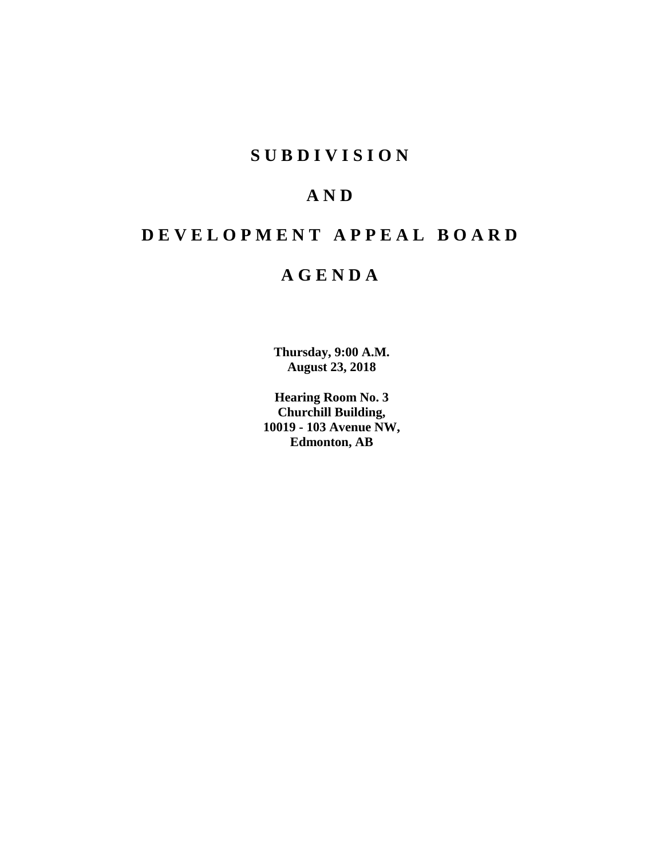# **S U B D I V I S I O N**

# **A N D**

# **D E V E L O P M E N T A P P E A L B O A R D**

# **A G E N D A**

**Thursday, 9:00 A.M. August 23, 2018**

**Hearing Room No. 3 Churchill Building, 10019 - 103 Avenue NW, Edmonton, AB**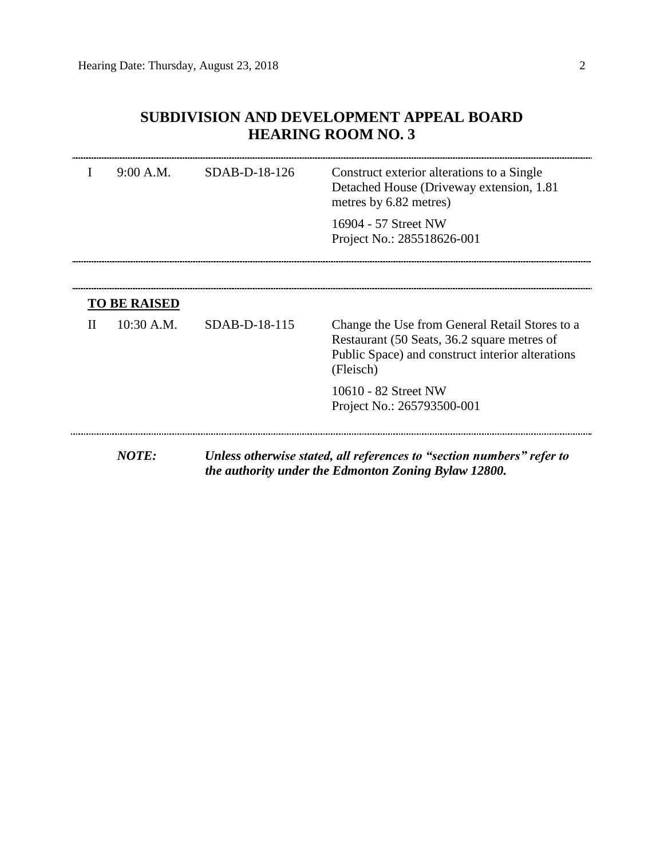# **SUBDIVISION AND DEVELOPMENT APPEAL BOARD HEARING ROOM NO. 3**

|   | 9:00 A.M.           | SDAB-D-18-126 | Construct exterior alterations to a Single<br>Detached House (Driveway extension, 1.81)<br>metres by 6.82 metres)                                              |  |  |
|---|---------------------|---------------|----------------------------------------------------------------------------------------------------------------------------------------------------------------|--|--|
|   |                     |               | 16904 - 57 Street NW<br>Project No.: 285518626-001                                                                                                             |  |  |
|   | <b>TO BE RAISED</b> |               |                                                                                                                                                                |  |  |
| H | $10:30$ A.M.        | SDAB-D-18-115 | Change the Use from General Retail Stores to a<br>Restaurant (50 Seats, 36.2 square metres of<br>Public Space) and construct interior alterations<br>(Fleisch) |  |  |
|   |                     |               | 10610 - 82 Street NW<br>Project No.: 265793500-001                                                                                                             |  |  |
|   | <b>NOTE:</b>        |               | Unless otherwise stated, all references to "section numbers" refer to<br>the authority under the Edmonton Zoning Bylaw 12800.                                  |  |  |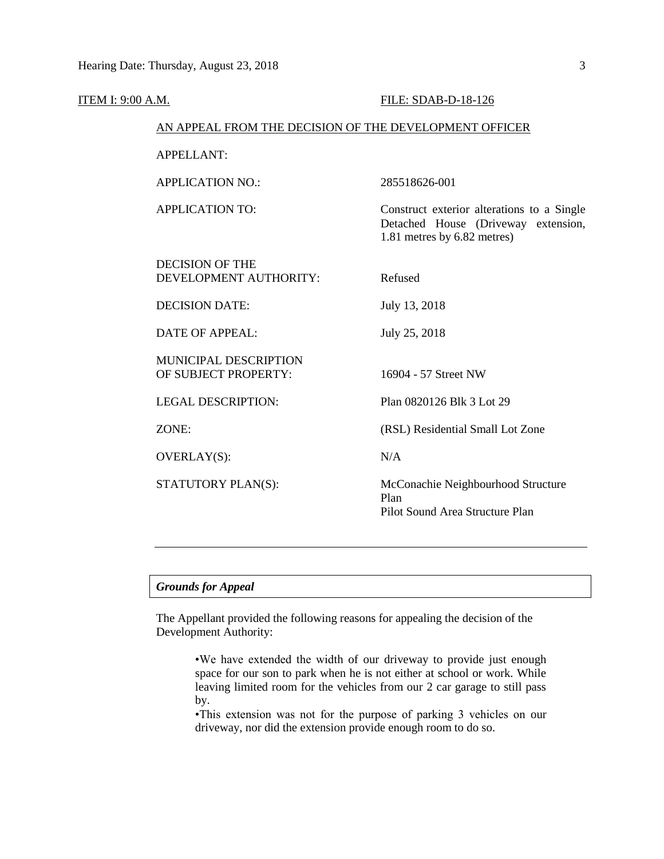| <b>ITEM I: 9:00 A.M.</b> |                                                        | FILE: SDAB-D-18-126                                                                                              |  |  |  |  |  |
|--------------------------|--------------------------------------------------------|------------------------------------------------------------------------------------------------------------------|--|--|--|--|--|
|                          | AN APPEAL FROM THE DECISION OF THE DEVELOPMENT OFFICER |                                                                                                                  |  |  |  |  |  |
|                          | <b>APPELLANT:</b>                                      |                                                                                                                  |  |  |  |  |  |
|                          | <b>APPLICATION NO.:</b>                                | 285518626-001                                                                                                    |  |  |  |  |  |
|                          | <b>APPLICATION TO:</b>                                 | Construct exterior alterations to a Single<br>Detached House (Driveway extension,<br>1.81 metres by 6.82 metres) |  |  |  |  |  |
|                          | <b>DECISION OF THE</b><br>DEVELOPMENT AUTHORITY:       | Refused                                                                                                          |  |  |  |  |  |
|                          | <b>DECISION DATE:</b>                                  | July 13, 2018                                                                                                    |  |  |  |  |  |
|                          | <b>DATE OF APPEAL:</b>                                 | July 25, 2018                                                                                                    |  |  |  |  |  |
|                          | MUNICIPAL DESCRIPTION<br>OF SUBJECT PROPERTY:          | 16904 - 57 Street NW                                                                                             |  |  |  |  |  |
|                          | <b>LEGAL DESCRIPTION:</b>                              | Plan 0820126 Blk 3 Lot 29                                                                                        |  |  |  |  |  |
|                          | ZONE:                                                  | (RSL) Residential Small Lot Zone                                                                                 |  |  |  |  |  |
|                          | <b>OVERLAY(S):</b>                                     | N/A                                                                                                              |  |  |  |  |  |
|                          | STATUTORY PLAN(S):                                     | McConachie Neighbourhood Structure<br>Plan<br>Pilot Sound Area Structure Plan                                    |  |  |  |  |  |
|                          |                                                        |                                                                                                                  |  |  |  |  |  |

# *Grounds for Appeal*

The Appellant provided the following reasons for appealing the decision of the Development Authority:

> •We have extended the width of our driveway to provide just enough space for our son to park when he is not either at school or work. While leaving limited room for the vehicles from our 2 car garage to still pass by.

> •This extension was not for the purpose of parking 3 vehicles on our driveway, nor did the extension provide enough room to do so.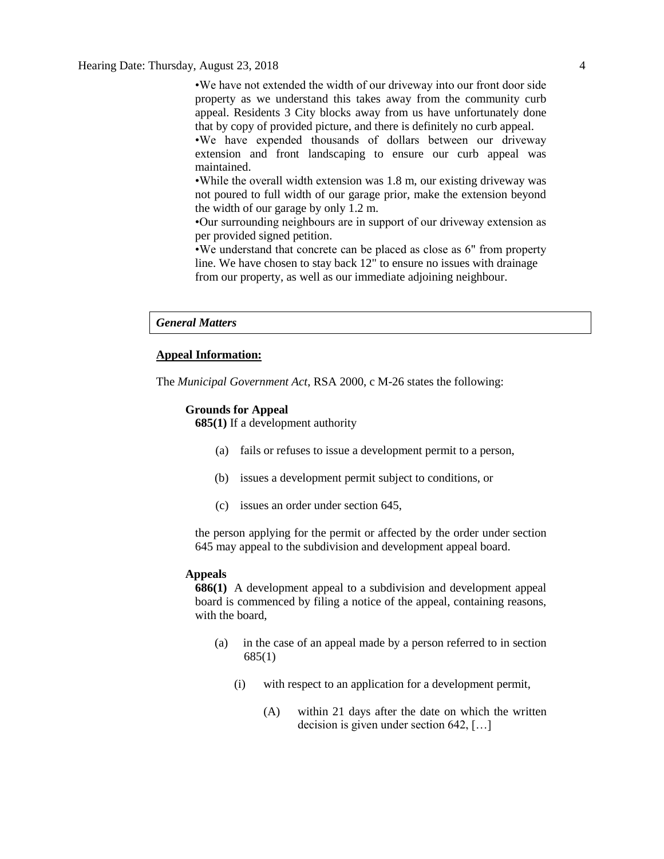Hearing Date: Thursday, August 23, 2018 4

•We have not extended the width of our driveway into our front door side property as we understand this takes away from the community curb appeal. Residents 3 City blocks away from us have unfortunately done that by copy of provided picture, and there is definitely no curb appeal.

•We have expended thousands of dollars between our driveway extension and front landscaping to ensure our curb appeal was maintained.

•While the overall width extension was 1.8 m, our existing driveway was not poured to full width of our garage prior, make the extension beyond the width of our garage by only 1.2 m.

•Our surrounding neighbours are in support of our driveway extension as per provided signed petition.

•We understand that concrete can be placed as close as 6" from property line. We have chosen to stay back 12" to ensure no issues with drainage from our property, as well as our immediate adjoining neighbour.

#### *General Matters*

## **Appeal Information:**

The *Municipal Government Act*, RSA 2000, c M-26 states the following:

#### **Grounds for Appeal**

**685(1)** If a development authority

- (a) fails or refuses to issue a development permit to a person,
- (b) issues a development permit subject to conditions, or
- (c) issues an order under section 645,

the person applying for the permit or affected by the order under section 645 may appeal to the subdivision and development appeal board.

## **Appeals**

**686(1)** A development appeal to a subdivision and development appeal board is commenced by filing a notice of the appeal, containing reasons, with the board,

- (a) in the case of an appeal made by a person referred to in section 685(1)
	- (i) with respect to an application for a development permit,
		- (A) within 21 days after the date on which the written decision is given under section 642, […]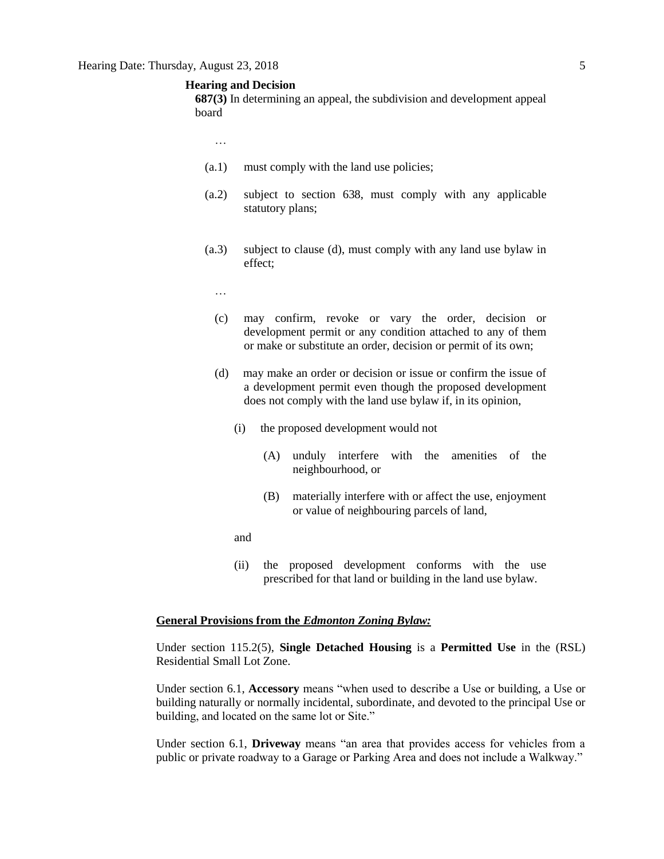# **Hearing and Decision**

**687(3)** In determining an appeal, the subdivision and development appeal board

- …
- (a.1) must comply with the land use policies;
- (a.2) subject to section 638, must comply with any applicable statutory plans;
- (a.3) subject to clause (d), must comply with any land use bylaw in effect;
	- …
	- (c) may confirm, revoke or vary the order, decision or development permit or any condition attached to any of them or make or substitute an order, decision or permit of its own;
	- (d) may make an order or decision or issue or confirm the issue of a development permit even though the proposed development does not comply with the land use bylaw if, in its opinion,
		- (i) the proposed development would not
			- (A) unduly interfere with the amenities of the neighbourhood, or
			- (B) materially interfere with or affect the use, enjoyment or value of neighbouring parcels of land,
		- and
		- (ii) the proposed development conforms with the use prescribed for that land or building in the land use bylaw.

# **General Provisions from the** *Edmonton Zoning Bylaw:*

Under section 115.2(5), **Single Detached Housing** is a **Permitted Use** in the (RSL) Residential Small Lot Zone.

Under section 6.1, **Accessory** means "when used to describe a Use or building, a Use or building naturally or normally incidental, subordinate, and devoted to the principal Use or building, and located on the same lot or Site."

Under section 6.1, **Driveway** means "an area that provides access for vehicles from a public or private roadway to a Garage or Parking Area and does not include a Walkway."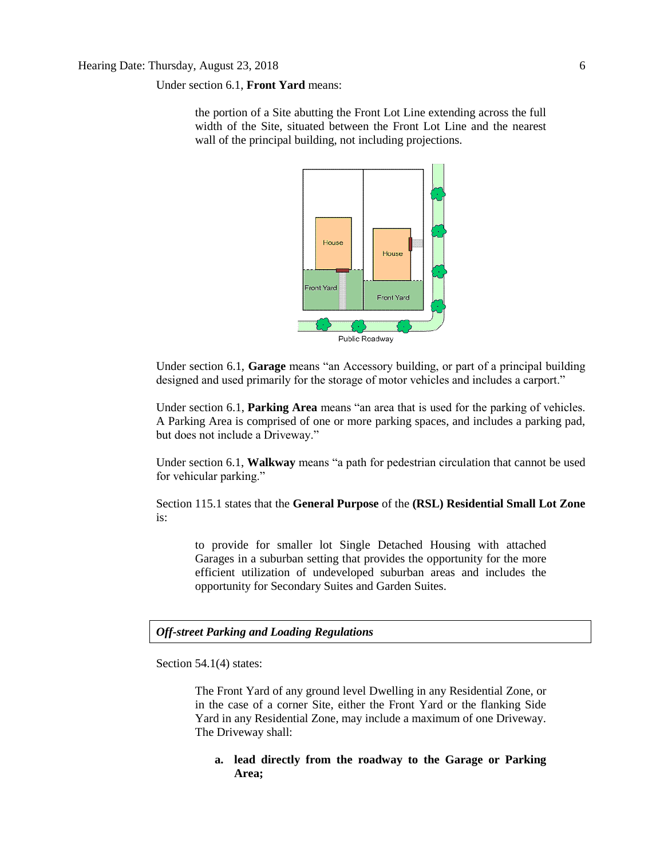Under section 6.1, **Front Yard** means:

the portion of a Site abutting the Front Lot Line extending across the full width of the Site, situated between the Front Lot Line and the nearest wall of the principal building, not including projections.



Under section 6.1, **Garage** means "an Accessory building, or part of a principal building designed and used primarily for the storage of motor vehicles and includes a carport."

Under section 6.1, **Parking Area** means "an area that is used for the parking of vehicles. A Parking Area is comprised of one or more parking spaces, and includes a parking pad, but does not include a Driveway."

Under section 6.1, **Walkway** means "a path for pedestrian circulation that cannot be used for vehicular parking."

Section 115.1 states that the **General Purpose** of the **(RSL) Residential Small Lot Zone**  is:

to provide for smaller lot Single Detached Housing with attached Garages in a suburban setting that provides the opportunity for the more efficient utilization of undeveloped suburban areas and includes the opportunity for Secondary Suites and Garden Suites.

# *Off-street Parking and Loading Regulations*

Section 54.1(4) states:

The Front Yard of any ground level Dwelling in any Residential Zone, or in the case of a corner Site, either the Front Yard or the flanking Side Yard in any Residential Zone, may include a maximum of one Driveway. The Driveway shall:

**a. lead directly from the roadway to the Garage or Parking Area;**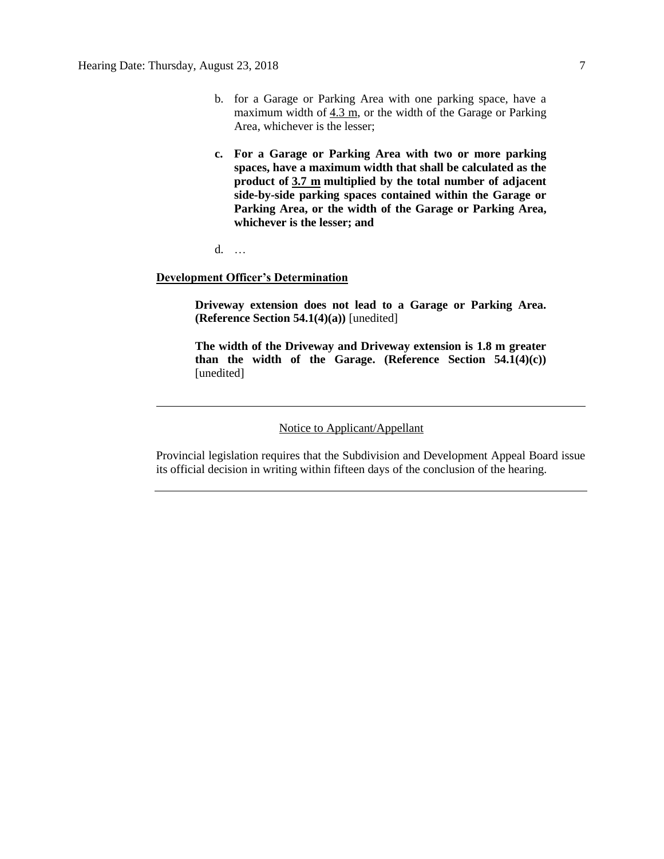- b. for a Garage or Parking Area with one parking space, have a maximum width of  $4.3$  m, or the width of the Garage or Parking Area, whichever is the lesser;
- **c. For a Garage or Parking Area with two or more parking spaces, have a maximum width that shall be calculated as the product of [3.7 m](javascript:void(0);) multiplied by the total number of adjacent side-by-side parking spaces contained within the Garage or Parking Area, or the width of the Garage or Parking Area, whichever is the lesser; and**
- d. …

# **Development Officer's Determination**

**Driveway extension does not lead to a Garage or Parking Area. (Reference Section 54.1(4)(a))** [unedited]

**The width of the Driveway and Driveway extension is 1.8 m greater than the width of the Garage. (Reference Section 54.1(4)(c))** [unedited]

## Notice to Applicant/Appellant

Provincial legislation requires that the Subdivision and Development Appeal Board issue its official decision in writing within fifteen days of the conclusion of the hearing.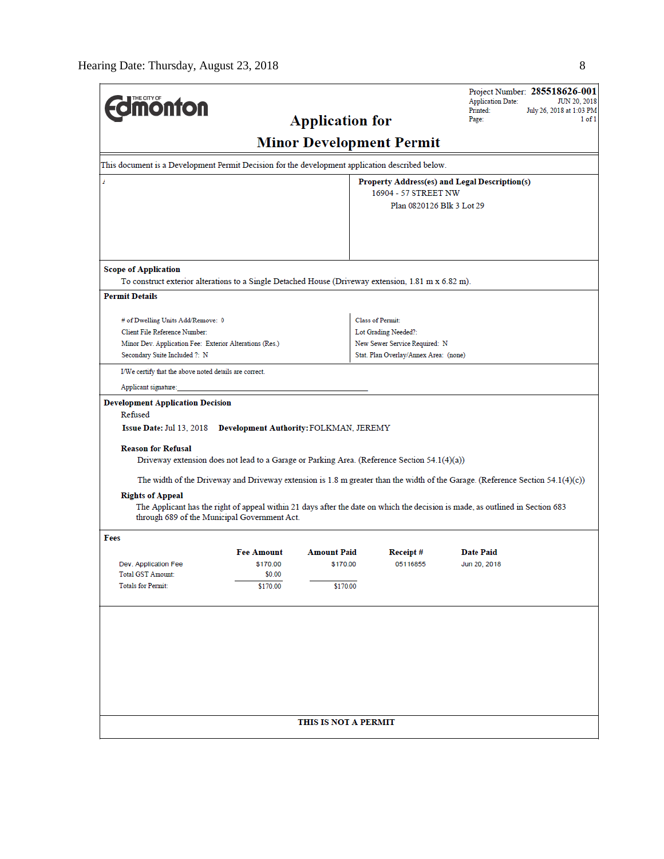|                                                                                                     |                                                                                                 |                        |                                       | Project Number: 285518626-001<br><b>Application Date:</b><br><b>JUN 20, 2018</b>                                               |  |  |  |  |  |  |
|-----------------------------------------------------------------------------------------------------|-------------------------------------------------------------------------------------------------|------------------------|---------------------------------------|--------------------------------------------------------------------------------------------------------------------------------|--|--|--|--|--|--|
| <b><i><u><b>MONTON</b></u></i></b>                                                                  | Printed:<br>July 26, 2018 at 1:03 PM<br>Page:<br>1 of 1                                         |                        |                                       |                                                                                                                                |  |  |  |  |  |  |
|                                                                                                     |                                                                                                 | <b>Application for</b> |                                       |                                                                                                                                |  |  |  |  |  |  |
| <b>Minor Development Permit</b>                                                                     |                                                                                                 |                        |                                       |                                                                                                                                |  |  |  |  |  |  |
|                                                                                                     | This document is a Development Permit Decision for the development application described below. |                        |                                       |                                                                                                                                |  |  |  |  |  |  |
| 7                                                                                                   | Property Address(es) and Legal Description(s)                                                   |                        |                                       |                                                                                                                                |  |  |  |  |  |  |
| 16904 - 57 STREET NW<br>Plan 0820126 Blk 3 Lot 29                                                   |                                                                                                 |                        |                                       |                                                                                                                                |  |  |  |  |  |  |
|                                                                                                     |                                                                                                 |                        |                                       |                                                                                                                                |  |  |  |  |  |  |
|                                                                                                     |                                                                                                 |                        |                                       |                                                                                                                                |  |  |  |  |  |  |
|                                                                                                     |                                                                                                 |                        |                                       |                                                                                                                                |  |  |  |  |  |  |
| <b>Scope of Application</b>                                                                         |                                                                                                 |                        |                                       |                                                                                                                                |  |  |  |  |  |  |
| To construct exterior alterations to a Single Detached House (Driveway extension, 1.81 m x 6.82 m). |                                                                                                 |                        |                                       |                                                                                                                                |  |  |  |  |  |  |
| <b>Permit Details</b>                                                                               |                                                                                                 |                        |                                       |                                                                                                                                |  |  |  |  |  |  |
| # of Dwelling Units Add/Remove: 0                                                                   |                                                                                                 |                        | <b>Class of Permit:</b>               |                                                                                                                                |  |  |  |  |  |  |
| Client File Reference Number:                                                                       |                                                                                                 |                        | Lot Grading Needed?:                  |                                                                                                                                |  |  |  |  |  |  |
| Minor Dev. Application Fee: Exterior Alterations (Res.)                                             |                                                                                                 |                        | New Sewer Service Required: N         |                                                                                                                                |  |  |  |  |  |  |
| Secondary Suite Included ?: N                                                                       |                                                                                                 |                        | Stat. Plan Overlay/Annex Area: (none) |                                                                                                                                |  |  |  |  |  |  |
| I/We certify that the above noted details are correct.                                              |                                                                                                 |                        |                                       |                                                                                                                                |  |  |  |  |  |  |
| Applicant signature:                                                                                |                                                                                                 |                        |                                       |                                                                                                                                |  |  |  |  |  |  |
| <b>Development Application Decision</b>                                                             |                                                                                                 |                        |                                       |                                                                                                                                |  |  |  |  |  |  |
| Refused                                                                                             |                                                                                                 |                        |                                       |                                                                                                                                |  |  |  |  |  |  |
| Issue Date: Jul 13, 2018 Development Authority: FOLKMAN, JEREMY                                     |                                                                                                 |                        |                                       |                                                                                                                                |  |  |  |  |  |  |
| <b>Reason for Refusal</b>                                                                           |                                                                                                 |                        |                                       |                                                                                                                                |  |  |  |  |  |  |
| Driveway extension does not lead to a Garage or Parking Area. (Reference Section 54.1(4)(a))        |                                                                                                 |                        |                                       |                                                                                                                                |  |  |  |  |  |  |
|                                                                                                     |                                                                                                 |                        |                                       | The width of the Driveway and Driveway extension is 1.8 m greater than the width of the Garage. (Reference Section 54.1(4)(c)) |  |  |  |  |  |  |
| <b>Rights of Appeal</b>                                                                             |                                                                                                 |                        |                                       |                                                                                                                                |  |  |  |  |  |  |
| through 689 of the Municipal Government Act.                                                        |                                                                                                 |                        |                                       | The Applicant has the right of appeal within 21 days after the date on which the decision is made, as outlined in Section 683  |  |  |  |  |  |  |
| Fees                                                                                                |                                                                                                 |                        |                                       |                                                                                                                                |  |  |  |  |  |  |
|                                                                                                     | <b>Fee Amount</b><br>\$170.00                                                                   | <b>Amount Paid</b>     | Receipt#                              | <b>Date Paid</b>                                                                                                               |  |  |  |  |  |  |
| Dev. Application Fee<br><b>Total GST Amount:</b>                                                    | \$0.00                                                                                          | \$170.00               | 05116855                              | Jun 20, 2018                                                                                                                   |  |  |  |  |  |  |
| <b>Totals for Permit:</b>                                                                           | \$170.00                                                                                        | \$170.00               |                                       |                                                                                                                                |  |  |  |  |  |  |
|                                                                                                     |                                                                                                 |                        |                                       |                                                                                                                                |  |  |  |  |  |  |
|                                                                                                     |                                                                                                 |                        |                                       |                                                                                                                                |  |  |  |  |  |  |
|                                                                                                     |                                                                                                 |                        |                                       |                                                                                                                                |  |  |  |  |  |  |
|                                                                                                     |                                                                                                 |                        |                                       |                                                                                                                                |  |  |  |  |  |  |
|                                                                                                     |                                                                                                 |                        |                                       |                                                                                                                                |  |  |  |  |  |  |
|                                                                                                     |                                                                                                 |                        |                                       |                                                                                                                                |  |  |  |  |  |  |
|                                                                                                     |                                                                                                 |                        |                                       |                                                                                                                                |  |  |  |  |  |  |
|                                                                                                     |                                                                                                 |                        |                                       |                                                                                                                                |  |  |  |  |  |  |
|                                                                                                     |                                                                                                 | THIS IS NOT A PERMIT   |                                       |                                                                                                                                |  |  |  |  |  |  |
|                                                                                                     |                                                                                                 |                        |                                       |                                                                                                                                |  |  |  |  |  |  |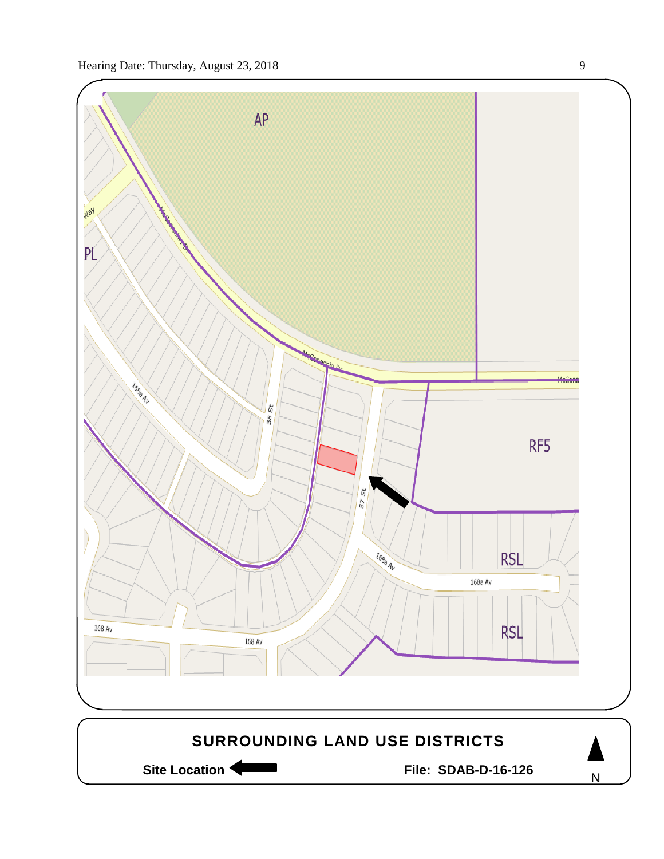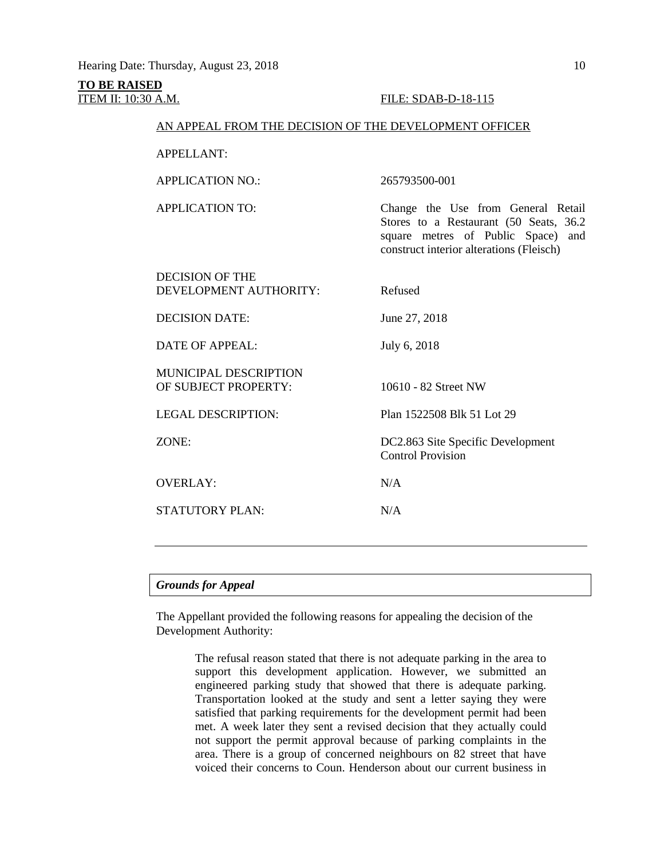# **TO BE RAISED ITEM II: 10:30 A.M. FILE: SDAB-D-18-115**

Stores to a Restaurant (50 Seats, 36.2

# AN APPEAL FROM THE DECISION OF THE DEVELOPMENT OFFICER

APPELLANT:

APPLICATION NO.: 265793500-001 APPLICATION TO: Change the Use from General Retail

square metres of Public Space) and construct interior alterations (Fleisch) DECISION OF THE DEVELOPMENT AUTHORITY: Refused DECISION DATE: June 27, 2018 DATE OF APPEAL: July 6, 2018 MUNICIPAL DESCRIPTION OF SUBJECT PROPERTY: 10610 - 82 Street NW LEGAL DESCRIPTION: Plan 1522508 Blk 51 Lot 29 ZONE: DC2.863 Site Specific Development Control Provision OVERLAY: N/A  $STATUITORY PLAN: N/A$ 

# *Grounds for Appeal*

The Appellant provided the following reasons for appealing the decision of the Development Authority:

> The refusal reason stated that there is not adequate parking in the area to support this development application. However, we submitted an engineered parking study that showed that there is adequate parking. Transportation looked at the study and sent a letter saying they were satisfied that parking requirements for the development permit had been met. A week later they sent a revised decision that they actually could not support the permit approval because of parking complaints in the area. There is a group of concerned neighbours on 82 street that have voiced their concerns to Coun. Henderson about our current business in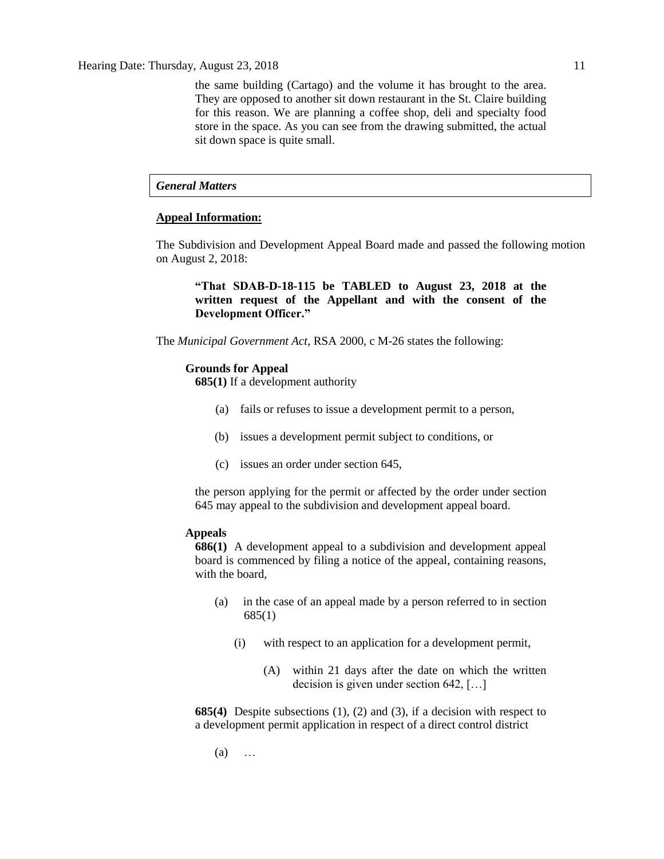the same building (Cartago) and the volume it has brought to the area. They are opposed to another sit down restaurant in the St. Claire building for this reason. We are planning a coffee shop, deli and specialty food store in the space. As you can see from the drawing submitted, the actual sit down space is quite small.

# *General Matters*

# **Appeal Information:**

The Subdivision and Development Appeal Board made and passed the following motion on August 2, 2018:

**"That SDAB-D-18-115 be TABLED to August 23, 2018 at the written request of the Appellant and with the consent of the Development Officer."**

The *Municipal Government Act*, RSA 2000, c M-26 states the following:

#### **Grounds for Appeal**

**685(1)** If a development authority

- (a) fails or refuses to issue a development permit to a person,
- (b) issues a development permit subject to conditions, or
- (c) issues an order under section 645,

the person applying for the permit or affected by the order under section 645 may appeal to the subdivision and development appeal board.

# **Appeals**

**686(1)** A development appeal to a subdivision and development appeal board is commenced by filing a notice of the appeal, containing reasons, with the board,

- (a) in the case of an appeal made by a person referred to in section 685(1)
	- (i) with respect to an application for a development permit,
		- (A) within 21 days after the date on which the written decision is given under section 642, […]

**685(4)** Despite subsections (1), (2) and (3), if a decision with respect to a development permit application in respect of a direct control district

(a) …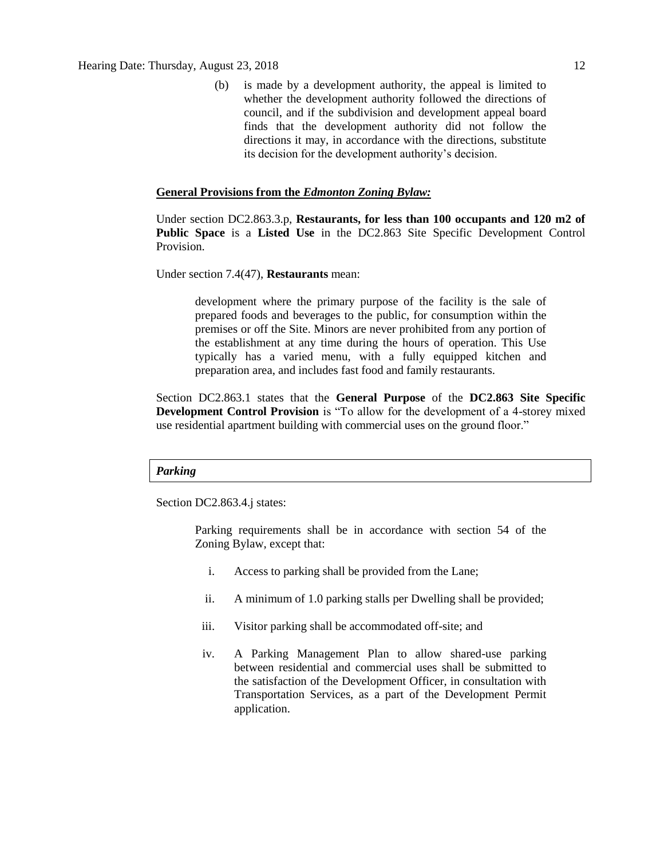(b) is made by a development authority, the appeal is limited to whether the development authority followed the directions of council, and if the subdivision and development appeal board finds that the development authority did not follow the directions it may, in accordance with the directions, substitute its decision for the development authority's decision.

# **General Provisions from the** *Edmonton Zoning Bylaw:*

Under section DC2.863.3.p, **Restaurants, for less than 100 occupants and 120 m2 of Public Space** is a **Listed Use** in the DC2.863 Site Specific Development Control Provision.

Under section 7.4(47), **Restaurants** mean:

development where the primary purpose of the facility is the sale of prepared foods and beverages to the public, for consumption within the premises or off the Site. Minors are never prohibited from any portion of the establishment at any time during the hours of operation. This Use typically has a varied menu, with a fully equipped kitchen and preparation area, and includes fast food and family restaurants.

Section DC2.863.1 states that the **General Purpose** of the **DC2.863 Site Specific Development Control Provision** is "To allow for the development of a 4-storey mixed use residential apartment building with commercial uses on the ground floor."

# *Parking*

Section DC2.863.4.j states:

Parking requirements shall be in accordance with section 54 of the Zoning Bylaw, except that:

- i. Access to parking shall be provided from the Lane;
- ii. A minimum of 1.0 parking stalls per Dwelling shall be provided;
- iii. Visitor parking shall be accommodated off-site; and
- iv. A Parking Management Plan to allow shared-use parking between residential and commercial uses shall be submitted to the satisfaction of the Development Officer, in consultation with Transportation Services, as a part of the Development Permit application.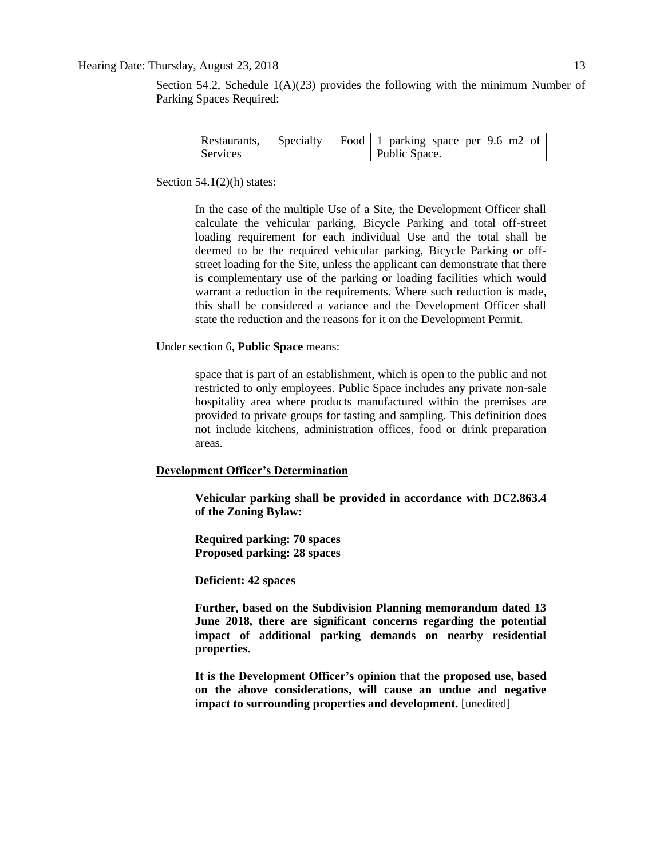# Hearing Date: Thursday, August 23, 2018 13

Section 54.2, Schedule  $1(A)(23)$  provides the following with the minimum Number of Parking Spaces Required:

| Restaurants, | Specialty | Food 1 parking space per 9.6 m2 of |  |  |  |
|--------------|-----------|------------------------------------|--|--|--|
| Services     |           | Public Space.                      |  |  |  |

Section  $54.1(2)$ (h) states:

In the case of the multiple Use of a Site, the Development Officer shall calculate the vehicular parking, Bicycle Parking and total off-street loading requirement for each individual Use and the total shall be deemed to be the required vehicular parking, Bicycle Parking or offstreet loading for the Site, unless the applicant can demonstrate that there is complementary use of the parking or loading facilities which would warrant a reduction in the requirements. Where such reduction is made, this shall be considered a variance and the Development Officer shall state the reduction and the reasons for it on the Development Permit.

Under section 6, **Public Space** means:

space that is part of an establishment, which is open to the public and not restricted to only employees. Public Space includes any private non-sale hospitality area where products manufactured within the premises are provided to private groups for tasting and sampling. This definition does not include kitchens, administration offices, food or drink preparation areas.

# **Development Officer's Determination**

**Vehicular parking shall be provided in accordance with DC2.863.4 of the Zoning Bylaw:**

**Required parking: 70 spaces Proposed parking: 28 spaces**

**Deficient: 42 spaces**

**Further, based on the Subdivision Planning memorandum dated 13 June 2018, there are significant concerns regarding the potential impact of additional parking demands on nearby residential properties.** 

**It is the Development Officer's opinion that the proposed use, based on the above considerations, will cause an undue and negative impact to surrounding properties and development.** [unedited]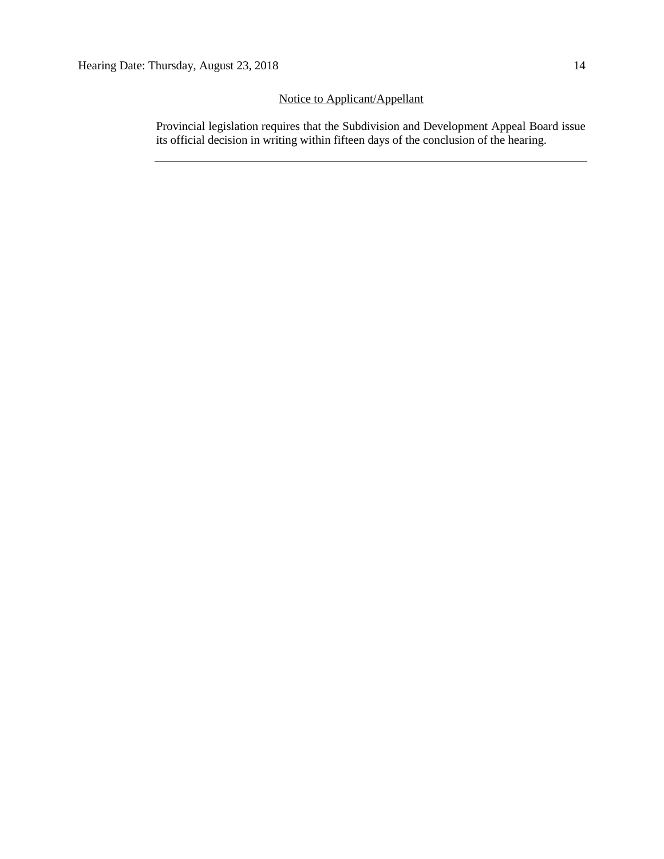# Notice to Applicant/Appellant

Provincial legislation requires that the Subdivision and Development Appeal Board issue its official decision in writing within fifteen days of the conclusion of the hearing.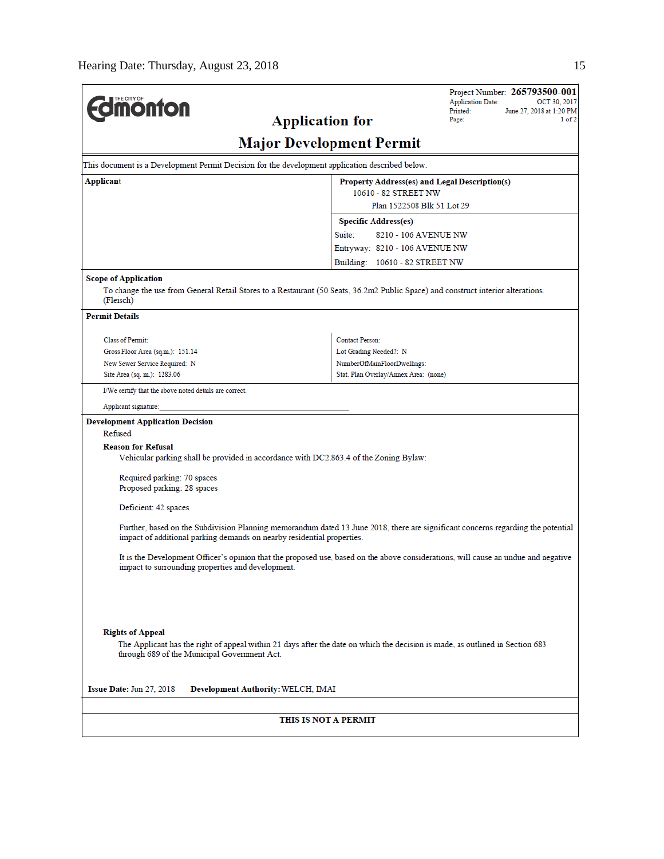|                                                                                                 | Project Number: 265793500-001<br><b>Application Date:</b><br>OCT 30, 2017                                                          |
|-------------------------------------------------------------------------------------------------|------------------------------------------------------------------------------------------------------------------------------------|
| <b><i><u><u><b>Monton</b></u></u></i></b>                                                       | Printed:<br>June 27, 2018 at 1:20 PM<br>Page:<br>1 of 2                                                                            |
|                                                                                                 | <b>Application for</b>                                                                                                             |
|                                                                                                 | <b>Major Development Permit</b>                                                                                                    |
| This document is a Development Permit Decision for the development application described below. |                                                                                                                                    |
| Applicant                                                                                       | Property Address(es) and Legal Description(s)                                                                                      |
|                                                                                                 | 10610 - 82 STREET NW                                                                                                               |
|                                                                                                 | Plan 1522508 Blk 51 Lot 29                                                                                                         |
|                                                                                                 | <b>Specific Address(es)</b>                                                                                                        |
|                                                                                                 | Suite:<br>8210 - 106 AVENUE NW                                                                                                     |
|                                                                                                 | Entryway: 8210 - 106 AVENUE NW                                                                                                     |
|                                                                                                 | Building: 10610 - 82 STREET NW                                                                                                     |
| <b>Scope of Application</b>                                                                     |                                                                                                                                    |
| (Fleisch)                                                                                       | To change the use from General Retail Stores to a Restaurant (50 Seats, 36.2m2 Public Space) and construct interior alterations.   |
| <b>Permit Details</b>                                                                           |                                                                                                                                    |
| <b>Class of Permit:</b>                                                                         | <b>Contact Person:</b>                                                                                                             |
| Gross Floor Area (sq.m.): 151.14                                                                | Lot Grading Needed?: N                                                                                                             |
| New Sewer Service Required: N                                                                   | NumberOfMainFloorDwellings:                                                                                                        |
| Site Area (sq. m.): 1283.06                                                                     | Stat. Plan Overlay/Annex Area: (none)                                                                                              |
| I/We certify that the above noted details are correct.                                          |                                                                                                                                    |
| Applicant signature:                                                                            |                                                                                                                                    |
| <b>Development Application Decision</b>                                                         |                                                                                                                                    |
| Refused                                                                                         |                                                                                                                                    |
| <b>Reason for Refusal</b>                                                                       |                                                                                                                                    |
| Vehicular parking shall be provided in accordance with DC2.863.4 of the Zoning Bylaw:           |                                                                                                                                    |
| Required parking: 70 spaces                                                                     |                                                                                                                                    |
| Proposed parking: 28 spaces                                                                     |                                                                                                                                    |
|                                                                                                 |                                                                                                                                    |
| Deficient: 42 spaces                                                                            |                                                                                                                                    |
| impact of additional parking demands on nearby residential properties.                          | Further, based on the Subdivision Planning memorandum dated 13 June 2018, there are significant concerns regarding the potential   |
| impact to surrounding properties and development.                                               | It is the Development Officer's opinion that the proposed use, based on the above considerations, will cause an undue and negative |
|                                                                                                 |                                                                                                                                    |
|                                                                                                 |                                                                                                                                    |
|                                                                                                 |                                                                                                                                    |
| <b>Rights of Appeal</b>                                                                         |                                                                                                                                    |
| through 689 of the Municipal Government Act.                                                    | The Applicant has the right of appeal within 21 days after the date on which the decision is made, as outlined in Section 683      |
| <b>Issue Date: Jun 27, 2018</b><br>Development Authority: WELCH, IMAI                           |                                                                                                                                    |
|                                                                                                 |                                                                                                                                    |
|                                                                                                 | THIS IS NOT A PERMIT                                                                                                               |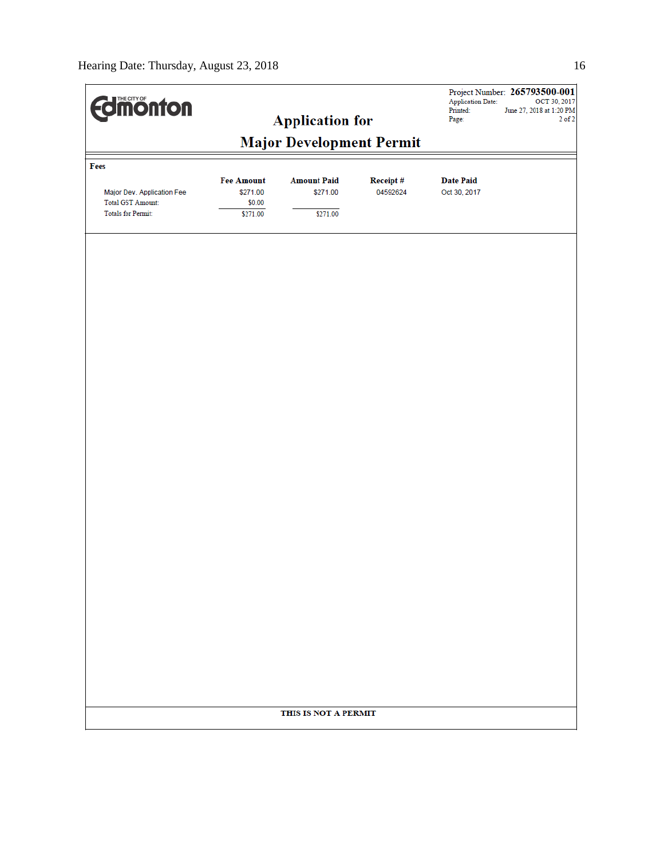| <b>difficing for the district of the district of the district of the district of the district of the d</b> |                                         | <b>Application for</b>         |                      | Application Date:<br>Printed:<br>Page: | Project Number: 265793500-001<br>OCT 30, 2017<br>June 27, 2018 at 1:20 PM<br>$2$ of $2$ |  |  |  |  |
|------------------------------------------------------------------------------------------------------------|-----------------------------------------|--------------------------------|----------------------|----------------------------------------|-----------------------------------------------------------------------------------------|--|--|--|--|
| <b>Major Development Permit</b>                                                                            |                                         |                                |                      |                                        |                                                                                         |  |  |  |  |
| Fees                                                                                                       |                                         |                                |                      |                                        |                                                                                         |  |  |  |  |
| Major Dev. Application Fee<br><b>Total GST Amount:</b>                                                     | <b>Fee Amount</b><br>\$271.00<br>\$0.00 | <b>Amount Paid</b><br>\$271.00 | Receipt#<br>04592624 | <b>Date Paid</b><br>Oct 30, 2017       |                                                                                         |  |  |  |  |
| <b>Totals for Permit:</b>                                                                                  | \$271.00                                | \$271.00                       |                      |                                        |                                                                                         |  |  |  |  |
|                                                                                                            |                                         |                                |                      |                                        |                                                                                         |  |  |  |  |
|                                                                                                            |                                         |                                |                      |                                        |                                                                                         |  |  |  |  |
|                                                                                                            |                                         |                                |                      |                                        |                                                                                         |  |  |  |  |
|                                                                                                            |                                         |                                |                      |                                        |                                                                                         |  |  |  |  |
|                                                                                                            |                                         |                                |                      |                                        |                                                                                         |  |  |  |  |
|                                                                                                            |                                         |                                |                      |                                        |                                                                                         |  |  |  |  |
|                                                                                                            |                                         |                                |                      |                                        |                                                                                         |  |  |  |  |
|                                                                                                            |                                         |                                |                      |                                        |                                                                                         |  |  |  |  |
|                                                                                                            |                                         |                                |                      |                                        |                                                                                         |  |  |  |  |
|                                                                                                            |                                         |                                |                      |                                        |                                                                                         |  |  |  |  |
|                                                                                                            |                                         |                                |                      |                                        |                                                                                         |  |  |  |  |
|                                                                                                            |                                         |                                |                      |                                        |                                                                                         |  |  |  |  |
|                                                                                                            |                                         |                                |                      |                                        |                                                                                         |  |  |  |  |
|                                                                                                            |                                         |                                |                      |                                        |                                                                                         |  |  |  |  |
|                                                                                                            |                                         |                                |                      |                                        |                                                                                         |  |  |  |  |
|                                                                                                            |                                         |                                |                      |                                        |                                                                                         |  |  |  |  |
|                                                                                                            |                                         |                                |                      |                                        |                                                                                         |  |  |  |  |
|                                                                                                            |                                         |                                |                      |                                        |                                                                                         |  |  |  |  |
|                                                                                                            |                                         |                                |                      |                                        |                                                                                         |  |  |  |  |
|                                                                                                            |                                         |                                |                      |                                        |                                                                                         |  |  |  |  |
|                                                                                                            |                                         |                                |                      |                                        |                                                                                         |  |  |  |  |
|                                                                                                            |                                         | THIS IS NOT A PERMIT           |                      |                                        |                                                                                         |  |  |  |  |
|                                                                                                            |                                         |                                |                      |                                        |                                                                                         |  |  |  |  |